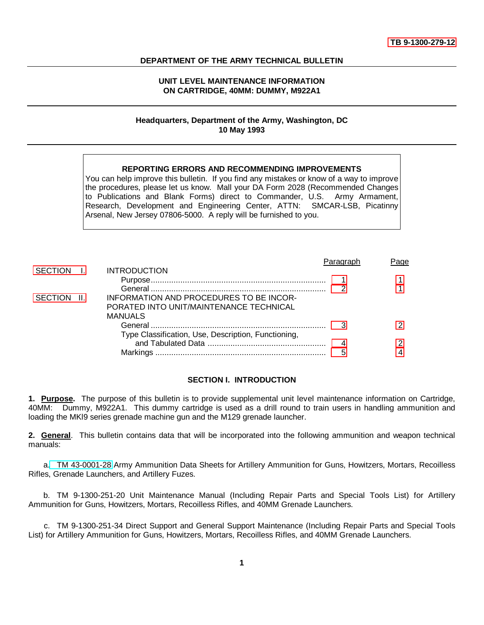#### <span id="page-0-0"></span>**DEPARTMENT OF THE ARMY TECHNICAL BULLETIN**

### **UNIT LEVEL MAINTENANCE INFORMATION ON CARTRIDGE, 40MM: DUMMY, M922A1**

### **Headquarters, Department of the Army, Washington, DC 10 May 1993**

## **REPORTING ERRORS AND RECOMMENDING IMPROVEMENTS**

<span id="page-0-1"></span>You can help improve this bulletin. If you find any mistakes or know of a way to improve the procedures, please let us know. Mall your DA Form 2028 (Recommended Changes to Publications and Blank Forms) direct to Commander, U.S. Army Armament, Research, Development and Engineering Center, ATTN: SMCAR-LSB, Picatinny Arsenal, New Jersey 07806-5000. A reply will be furnished to you.

|             |                                                     | Paragrap | Page |
|-------------|-----------------------------------------------------|----------|------|
|             | SECTION I. INTRODUCTION                             |          |      |
|             |                                                     |          |      |
|             |                                                     |          |      |
| SECTION II. | INFORMATION AND PROCEDURES TO BE INCOR-             |          |      |
|             | PORATED INTO UNIT/MAINTENANCE TECHNICAL             |          |      |
|             | MANUALS                                             |          |      |
|             |                                                     |          |      |
|             | Type Classification, Use, Description, Functioning, |          |      |
|             |                                                     |          |      |
|             |                                                     |          |      |
|             |                                                     |          |      |

### **SECTION I. INTRODUCTION**

**1. Purpose.** The purpose of this bulletin is to provide supplemental unit level maintenance information on Cartridge, 40MM: Dummy, M922A1. This dummy cartridge is used as a drill round to train users in handling ammunition and loading the MKl9 series grenade machine gun and the M129 grenade launcher.

**2. General**. This bulletin contains data that will be incorporated into the following ammunition and weapon technical manuals:

a. TM 43-0001-28 Army Ammunition Data Sheets for Artillery Ammunition for Guns, Howitzers, Mortars, Recoilless Rifles, Grenade Launchers, and Artillery Fuzes.

b. TM 9-1300-251-20 Unit Maintenance Manual (Including Repair Parts and Special Tools List) for Artillery Ammunition for Guns, Howitzers, Mortars, Recoilless Rifles, and 40MM Grenade Launchers.

c. TM 9-1300-251-34 Direct Support and General Support Maintenance (Including Repair Parts and Special Tools List) for Artillery Ammunition for Guns, Howitzers, Mortars, Recoilless Rifles, and 40MM Grenade Launchers.